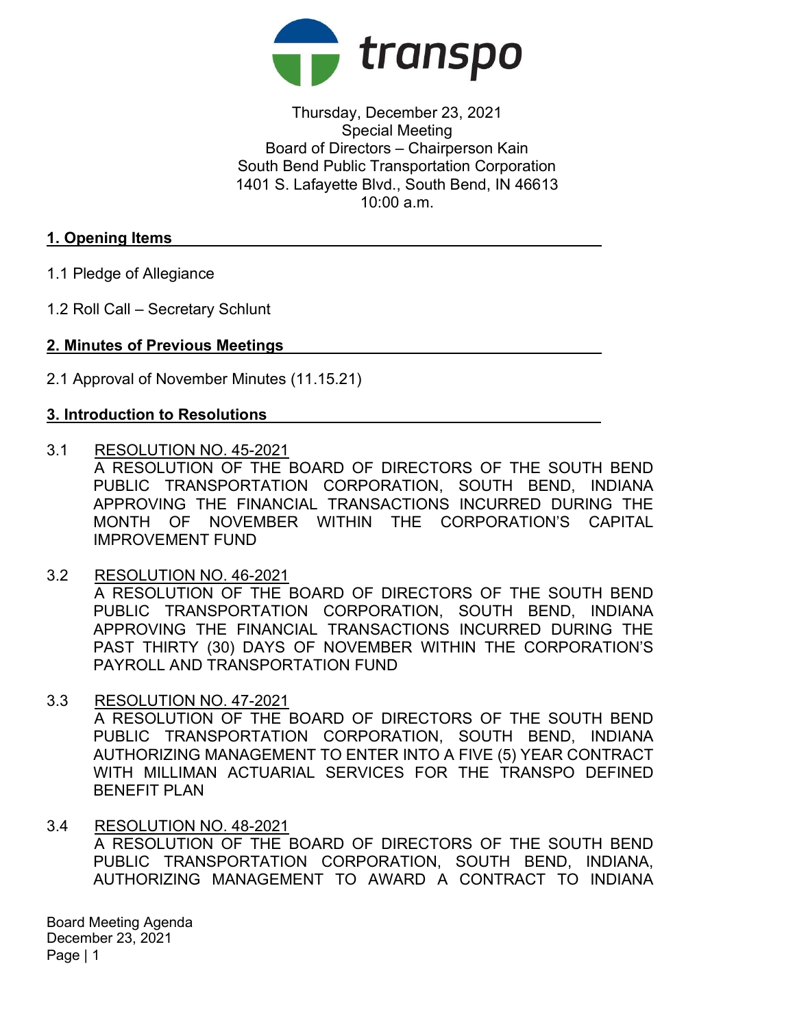

Thursday, December 23, 2021 Special Meeting Board of Directors – Chairperson Kain South Bend Public Transportation Corporation 1401 S. Lafayette Blvd., South Bend, IN 46613  $10:00$  a.m.

# 1. Opening Items

- 1.1 Pledge of Allegiance
- 1.2 Roll Call Secretary Schlunt

### 2. Minutes of Previous Meetings

2.1 Approval of November Minutes (11.15.21)

## 3. Introduction to Resolutions

3.1 RESOLUTION NO. 45-2021

A RESOLUTION OF THE BOARD OF DIRECTORS OF THE SOUTH BEND PUBLIC TRANSPORTATION CORPORATION, SOUTH BEND, INDIANA APPROVING THE FINANCIAL TRANSACTIONS INCURRED DURING THE MONTH OF NOVEMBER WITHIN THE CORPORATION'S CAPITAL IMPROVEMENT FUND

- 3.2 RESOLUTION NO. 46-2021 A RESOLUTION OF THE BOARD OF DIRECTORS OF THE SOUTH BEND PUBLIC TRANSPORTATION CORPORATION, SOUTH BEND, INDIANA APPROVING THE FINANCIAL TRANSACTIONS INCURRED DURING THE PAST THIRTY (30) DAYS OF NOVEMBER WITHIN THE CORPORATION'S PAYROLL AND TRANSPORTATION FUND
- 3.3 RESOLUTION NO. 47-2021 A RESOLUTION OF THE BOARD OF DIRECTORS OF THE SOUTH BEND PUBLIC TRANSPORTATION CORPORATION, SOUTH BEND, INDIANA AUTHORIZING MANAGEMENT TO ENTER INTO A FIVE (5) YEAR CONTRACT WITH MILLIMAN ACTUARIAL SERVICES FOR THE TRANSPO DEFINED BENEFIT PLAN
- 3.4 RESOLUTION NO. 48-2021 A RESOLUTION OF THE BOARD OF DIRECTORS OF THE SOUTH BEND PUBLIC TRANSPORTATION CORPORATION, SOUTH BEND, INDIANA, AUTHORIZING MANAGEMENT TO AWARD A CONTRACT TO INDIANA

Board Meeting Agenda December 23, 2021 Page | 1